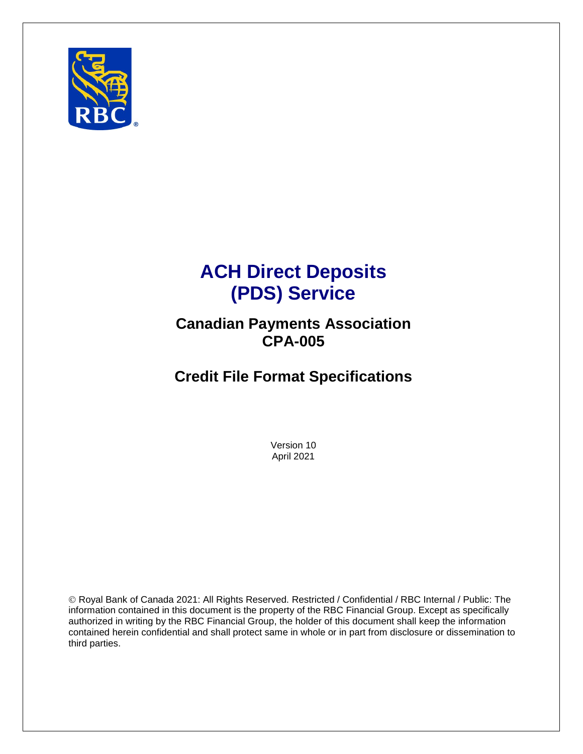

# **ACH Direct Deposits (PDS) Service**

## **Canadian Payments Association CPA-005**

# **Credit File Format Specifications**

Version 10 April 2021

© Royal Bank of Canada 2021: All Rights Reserved. Restricted / Confidential / RBC Internal / Public: The information contained in this document is the property of the RBC Financial Group. Except as specifically authorized in writing by the RBC Financial Group, the holder of this document shall keep the information contained herein confidential and shall protect same in whole or in part from disclosure or dissemination to third parties.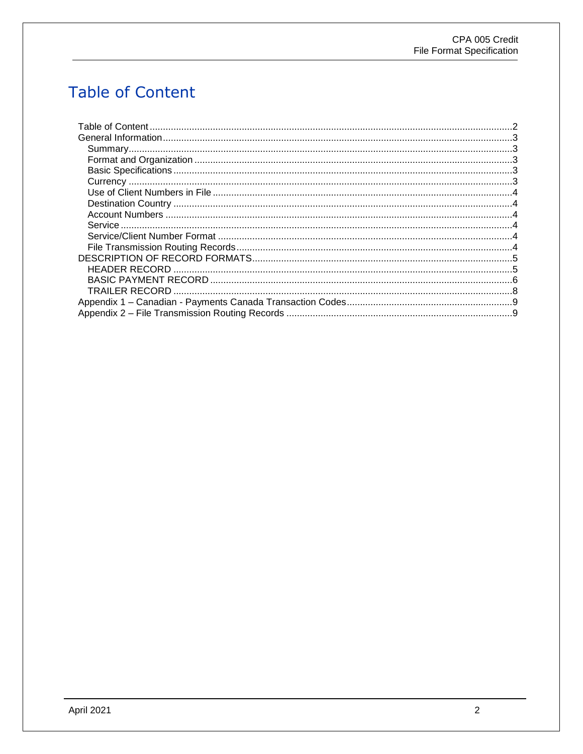# <span id="page-1-0"></span>**Table of Content**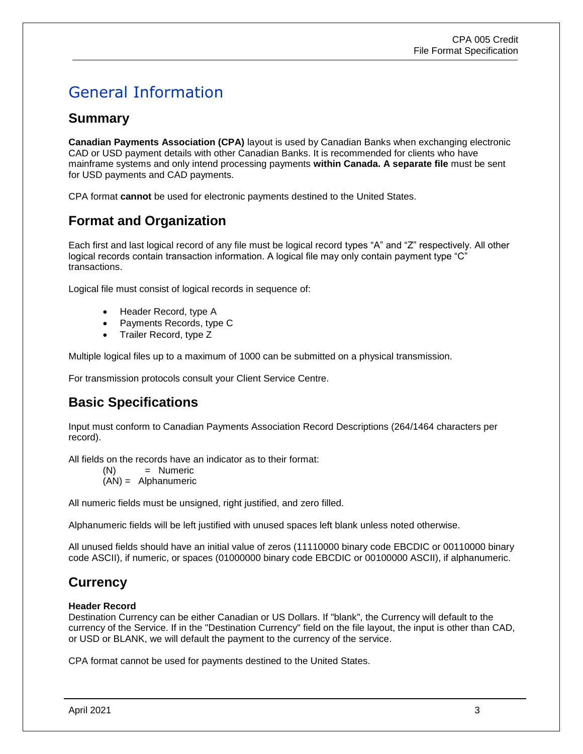# <span id="page-2-0"></span>General Information

#### <span id="page-2-1"></span>**Summary**

**Canadian Payments Association (CPA)** layout is used by Canadian Banks when exchanging electronic CAD or USD payment details with other Canadian Banks. It is recommended for clients who have mainframe systems and only intend processing payments **within Canada. A separate file** must be sent for USD payments and CAD payments.

CPA format **cannot** be used for electronic payments destined to the United States.

## <span id="page-2-2"></span>**Format and Organization**

Each first and last logical record of any file must be logical record types "A" and "Z" respectively. All other logical records contain transaction information. A logical file may only contain payment type "C" transactions.

Logical file must consist of logical records in sequence of:

- Header Record, type A
- Payments Records, type C
- Trailer Record, type Z

Multiple logical files up to a maximum of 1000 can be submitted on a physical transmission.

For transmission protocols consult your Client Service Centre.

## <span id="page-2-3"></span>**Basic Specifications**

Input must conform to Canadian Payments Association Record Descriptions (264/1464 characters per record).

All fields on the records have an indicator as to their format:

(N) = Numeric

(AN) = Alphanumeric

All numeric fields must be unsigned, right justified, and zero filled.

Alphanumeric fields will be left justified with unused spaces left blank unless noted otherwise.

All unused fields should have an initial value of zeros (11110000 binary code EBCDIC or 00110000 binary code ASCII), if numeric, or spaces (01000000 binary code EBCDIC or 00100000 ASCII), if alphanumeric.

## <span id="page-2-4"></span>**Currency**

#### **Header Record**

Destination Currency can be either Canadian or US Dollars. If "blank", the Currency will default to the currency of the Service. If in the "Destination Currency" field on the file layout, the input is other than CAD, or USD or BLANK, we will default the payment to the currency of the service.

CPA format cannot be used for payments destined to the United States.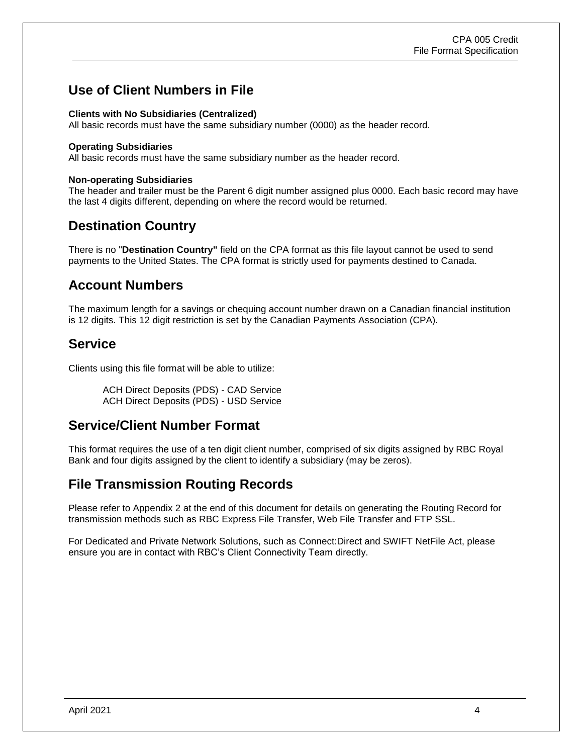## <span id="page-3-0"></span>**Use of Client Numbers in File**

#### **Clients with No Subsidiaries (Centralized)**

All basic records must have the same subsidiary number (0000) as the header record.

#### **Operating Subsidiaries**

All basic records must have the same subsidiary number as the header record.

#### **Non-operating Subsidiaries**

The header and trailer must be the Parent 6 digit number assigned plus 0000. Each basic record may have the last 4 digits different, depending on where the record would be returned.

#### <span id="page-3-1"></span>**Destination Country**

There is no "**Destination Country"** field on the CPA format as this file layout cannot be used to send payments to the United States. The CPA format is strictly used for payments destined to Canada.

#### <span id="page-3-2"></span>**Account Numbers**

The maximum length for a savings or chequing account number drawn on a Canadian financial institution is 12 digits. This 12 digit restriction is set by the Canadian Payments Association (CPA).

#### <span id="page-3-3"></span>**Service**

Clients using this file format will be able to utilize:

ACH Direct Deposits (PDS) - CAD Service ACH Direct Deposits (PDS) - USD Service

#### <span id="page-3-4"></span>**Service/Client Number Format**

This format requires the use of a ten digit client number, comprised of six digits assigned by RBC Royal Bank and four digits assigned by the client to identify a subsidiary (may be zeros).

#### <span id="page-3-5"></span>**File Transmission Routing Records**

Please refer to Appendix 2 at the end of this document for details on generating the Routing Record for transmission methods such as RBC Express File Transfer, Web File Transfer and FTP SSL.

For Dedicated and Private Network Solutions, such as Connect:Direct and SWIFT NetFile Act, please ensure you are in contact with RBC's Client Connectivity Team directly.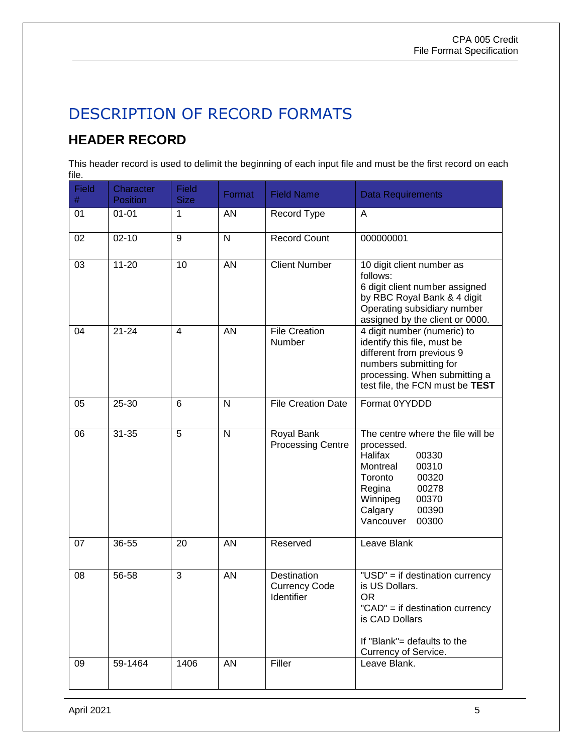# <span id="page-4-0"></span>DESCRIPTION OF RECORD FORMATS

## <span id="page-4-1"></span>**HEADER RECORD**

This header record is used to delimit the beginning of each input file and must be the first record on each file.

| <b>Field</b><br># | Character<br><b>Position</b> | <b>Field</b><br><b>Size</b> | Format       | <b>Field Name</b>                                 | <b>Data Requirements</b>                                                                                                                                                                       |
|-------------------|------------------------------|-----------------------------|--------------|---------------------------------------------------|------------------------------------------------------------------------------------------------------------------------------------------------------------------------------------------------|
| 01                | $01 - 01$                    | 1                           | <b>AN</b>    | Record Type                                       | A                                                                                                                                                                                              |
| 02                | $02 - 10$                    | 9                           | N            | <b>Record Count</b>                               | 000000001                                                                                                                                                                                      |
| 03                | $11 - 20$                    | 10                          | <b>AN</b>    | <b>Client Number</b>                              | 10 digit client number as<br>follows:<br>6 digit client number assigned<br>by RBC Royal Bank & 4 digit<br>Operating subsidiary number<br>assigned by the client or 0000.                       |
| 04                | $21 - 24$                    | 4                           | <b>AN</b>    | <b>File Creation</b><br>Number                    | 4 digit number (numeric) to<br>identify this file, must be<br>different from previous 9<br>numbers submitting for<br>processing. When submitting a<br>test file, the FCN must be TEST          |
| 05                | 25-30                        | 6                           | N            | <b>File Creation Date</b>                         | Format 0YYDDD                                                                                                                                                                                  |
| 06                | $31 - 35$                    | 5                           | $\mathsf{N}$ | Royal Bank<br><b>Processing Centre</b>            | The centre where the file will be<br>processed.<br>Halifax<br>00330<br>00310<br>Montreal<br>00320<br>Toronto<br>00278<br>Regina<br>Winnipeg<br>00370<br>00390<br>Calgary<br>Vancouver<br>00300 |
| 07                | 36-55                        | 20                          | <b>AN</b>    | Reserved                                          | Leave Blank                                                                                                                                                                                    |
| 08                | 56-58                        | 3                           | <b>AN</b>    | Destination<br><b>Currency Code</b><br>Identifier | "USD" = if destination currency<br>is US Dollars.<br><b>OR</b><br>"CAD" = if destination currency<br>is CAD Dollars<br>If "Blank"= defaults to the<br>Currency of Service.                     |
| 09                | 59-1464                      | 1406                        | AN           | Filler                                            | Leave Blank.                                                                                                                                                                                   |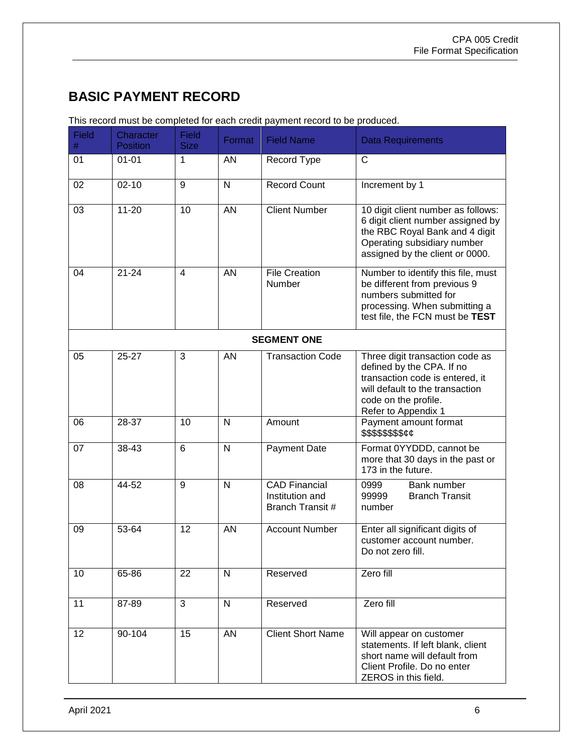## <span id="page-5-0"></span>**BASIC PAYMENT RECORD**

| <b>Field</b><br>$\#$ | Character<br><b>Position</b> | <b>Field</b><br><b>Size</b> | Format       | <b>Field Name</b>                                           | <b>Data Requirements</b>                                                                                                                                                          |
|----------------------|------------------------------|-----------------------------|--------------|-------------------------------------------------------------|-----------------------------------------------------------------------------------------------------------------------------------------------------------------------------------|
| 01                   | $01 - 01$                    | 1                           | <b>AN</b>    | Record Type                                                 | $\mathsf{C}$                                                                                                                                                                      |
| 02                   | $02 - 10$                    | 9                           | $\mathsf{N}$ | <b>Record Count</b>                                         | Increment by 1                                                                                                                                                                    |
| 03                   | $11 - 20$                    | 10                          | <b>AN</b>    | <b>Client Number</b>                                        | 10 digit client number as follows:<br>6 digit client number assigned by<br>the RBC Royal Bank and 4 digit<br>Operating subsidiary number<br>assigned by the client or 0000.       |
| 04                   | $21 - 24$                    | $\overline{4}$              | <b>AN</b>    | <b>File Creation</b><br>Number                              | Number to identify this file, must<br>be different from previous 9<br>numbers submitted for<br>processing. When submitting a<br>test file, the FCN must be TEST                   |
|                      |                              |                             |              | <b>SEGMENT ONE</b>                                          |                                                                                                                                                                                   |
| 05                   | $25 - 27$                    | 3                           | AN           | <b>Transaction Code</b>                                     | Three digit transaction code as<br>defined by the CPA. If no<br>transaction code is entered, it<br>will default to the transaction<br>code on the profile.<br>Refer to Appendix 1 |
| 06                   | 28-37                        | 10                          | N            | Amount                                                      | Payment amount format<br>\$\$\$\$\$\$\$\$ <i>¢¢</i>                                                                                                                               |
| 07                   | $38 - 43$                    | 6                           | N            | Payment Date                                                | Format 0YYDDD, cannot be<br>more that 30 days in the past or<br>173 in the future.                                                                                                |
| 08                   | 44-52                        | $\overline{9}$              | N            | <b>CAD Financial</b><br>Institution and<br>Branch Transit # | 0999<br>Bank number<br>99999<br><b>Branch Transit</b><br>number                                                                                                                   |
| 09                   | 53-64                        | 12                          | <b>AN</b>    | <b>Account Number</b>                                       | Enter all significant digits of<br>customer account number.<br>Do not zero fill.                                                                                                  |
| 10                   | 65-86                        | 22                          | N            | Reserved                                                    | Zero fill                                                                                                                                                                         |
| 11                   | 87-89                        | 3                           | N            | Reserved                                                    | Zero fill                                                                                                                                                                         |
| 12                   | 90-104                       | 15                          | AN           | <b>Client Short Name</b>                                    | Will appear on customer<br>statements. If left blank, client<br>short name will default from<br>Client Profile. Do no enter<br>ZEROS in this field.                               |

This record must be completed for each credit payment record to be produced.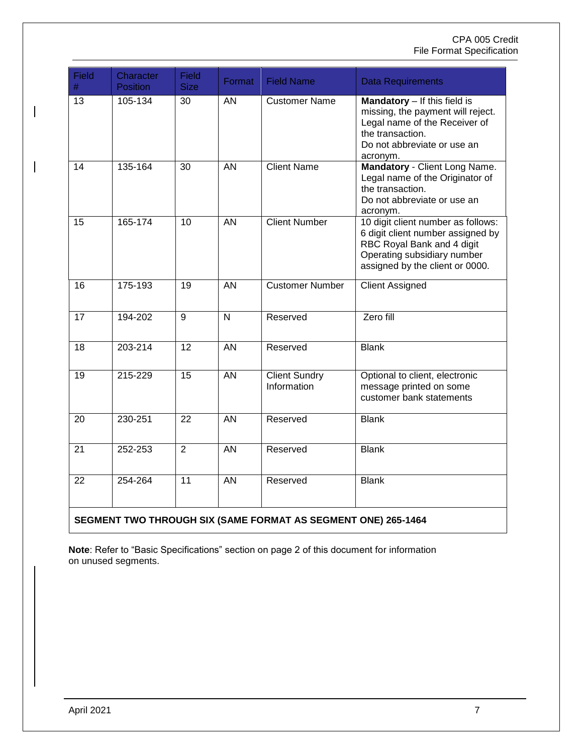#### CPA 005 Credit File Format Specification

| Field<br>$\#$                                                 | Character<br><b>Position</b> | <b>Field</b><br><b>Size</b> | Format          | <b>Field Name</b>                   | <b>Data Requirements</b>                                                                                                                                                |
|---------------------------------------------------------------|------------------------------|-----------------------------|-----------------|-------------------------------------|-------------------------------------------------------------------------------------------------------------------------------------------------------------------------|
| 13                                                            | 105-134                      | 30                          | AN              | <b>Customer Name</b>                | Mandatory - If this field is<br>missing, the payment will reject.<br>Legal name of the Receiver of<br>the transaction.<br>Do not abbreviate or use an<br>acronym.       |
| 14                                                            | 135-164                      | 30                          | <b>AN</b>       | <b>Client Name</b>                  | Mandatory - Client Long Name.<br>Legal name of the Originator of<br>the transaction.<br>Do not abbreviate or use an<br>acronym.                                         |
| 15                                                            | 165-174                      | 10                          | <b>AN</b>       | <b>Client Number</b>                | 10 digit client number as follows:<br>6 digit client number assigned by<br>RBC Royal Bank and 4 digit<br>Operating subsidiary number<br>assigned by the client or 0000. |
| 16                                                            | 175-193                      | 19                          | <b>AN</b>       | <b>Customer Number</b>              | <b>Client Assigned</b>                                                                                                                                                  |
| 17                                                            | 194-202                      | 9                           | N               | Reserved                            | Zero fill                                                                                                                                                               |
| 18                                                            | 203-214                      | $\overline{12}$             | $\overline{AN}$ | Reserved                            | <b>Blank</b>                                                                                                                                                            |
| 19                                                            | 215-229                      | 15                          | <b>AN</b>       | <b>Client Sundry</b><br>Information | Optional to client, electronic<br>message printed on some<br>customer bank statements                                                                                   |
| 20                                                            | 230-251                      | 22                          | $\overline{AN}$ | Reserved                            | <b>Blank</b>                                                                                                                                                            |
| 21                                                            | 252-253                      | $\overline{2}$              | $\overline{AN}$ | Reserved                            | <b>Blank</b>                                                                                                                                                            |
| 22                                                            | 254-264                      | 11                          | <b>AN</b>       | Reserved                            | <b>Blank</b>                                                                                                                                                            |
| SEGMENT TWO THROUGH SIX (SAME FORMAT AS SEGMENT ONE) 265-1464 |                              |                             |                 |                                     |                                                                                                                                                                         |

<span id="page-6-0"></span>**Note**: Refer to "Basic Specifications" section on page 2 of this document for information on unused segments.

 $\overline{\phantom{a}}$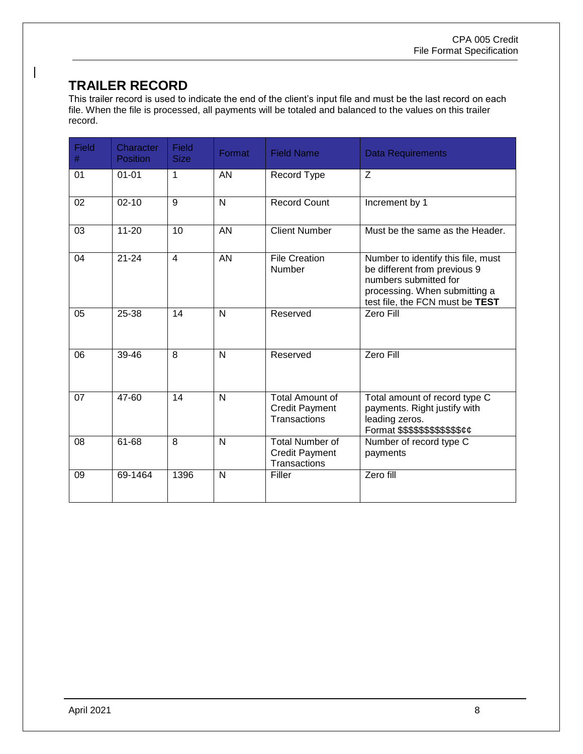#### **TRAILER RECORD**

 $\overline{\phantom{a}}$ 

This trailer record is used to indicate the end of the client's input file and must be the last record on each file. When the file is processed, all payments will be totaled and balanced to the values on this trailer record.

| Field<br># | Character<br>Position | Field<br><b>Size</b> | Format       | <b>Field Name</b>                                                      | <b>Data Requirements</b>                                                                                                                                        |
|------------|-----------------------|----------------------|--------------|------------------------------------------------------------------------|-----------------------------------------------------------------------------------------------------------------------------------------------------------------|
| 01         | $01 - 01$             | 1                    | AN           | Record Type                                                            | Z                                                                                                                                                               |
| 02         | $02 - 10$             | 9                    | $\mathsf{N}$ | <b>Record Count</b>                                                    | Increment by 1                                                                                                                                                  |
| 03         | $11 - 20$             | 10                   | <b>AN</b>    | <b>Client Number</b>                                                   | Must be the same as the Header.                                                                                                                                 |
| 04         | $21 - 24$             | $\overline{4}$       | AN           | <b>File Creation</b><br>Number                                         | Number to identify this file, must<br>be different from previous 9<br>numbers submitted for<br>processing. When submitting a<br>test file, the FCN must be TEST |
| 05         | 25-38                 | 14                   | $\mathsf{N}$ | Reserved                                                               | Zero Fill                                                                                                                                                       |
| 06         | 39-46                 | 8                    | N            | Reserved                                                               | Zero Fill                                                                                                                                                       |
| 07         | 47-60                 | 14                   | N            | <b>Total Amount of</b><br><b>Credit Payment</b><br><b>Transactions</b> | Total amount of record type C<br>payments. Right justify with<br>leading zeros.<br>Format \$\$\$\$\$\$\$\$\$\$\$\$ <i>¢¢</i>                                    |
| 08         | 61-68                 | 8                    | $\mathsf{N}$ | <b>Total Number of</b><br><b>Credit Payment</b><br>Transactions        | Number of record type C<br>payments                                                                                                                             |
| 09         | 69-1464               | 1396                 | N            | Filler                                                                 | Zero fill                                                                                                                                                       |